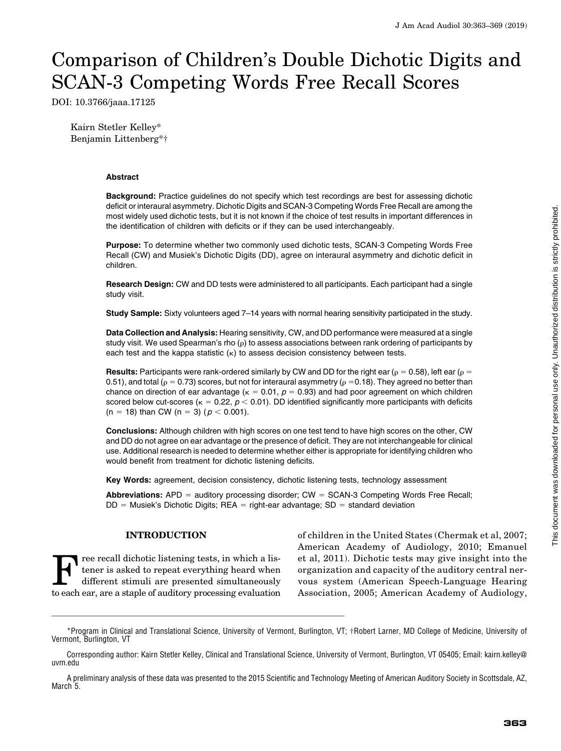# Comparison of Children's Double Dichotic Digits and SCAN-3 Competing Words Free Recall Scores

DOI: 10.3766/jaaa.17125

Kairn Stetler Kelley\* Benjamin Littenberg\*†

#### Abstract

Background: Practice guidelines do not specify which test recordings are best for assessing dichotic deficit or interaural asymmetry. Dichotic Digits and SCAN-3 Competing Words Free Recall are among the most widely used dichotic tests, but it is not known if the choice of test results in important differences in the identification of children with deficits or if they can be used interchangeably.

Purpose: To determine whether two commonly used dichotic tests, SCAN-3 Competing Words Free Recall (CW) and Musiek's Dichotic Digits (DD), agree on interaural asymmetry and dichotic deficit in children.

Research Design: CW and DD tests were administered to all participants. Each participant had a single study visit.

Study Sample: Sixty volunteers aged 7–14 years with normal hearing sensitivity participated in the study.

Data Collection and Analysis: Hearing sensitivity, CW, and DD performance were measured at a single study visit. We used Spearman's rho  $(\rho)$  to assess associations between rank ordering of participants by each test and the kappa statistic  $(\kappa)$  to assess decision consistency between tests.

**Results:** Participants were rank-ordered similarly by CW and DD for the right ear ( $\rho$  = 0.58), left ear ( $\rho$  = 0.51), and total ( $\rho = 0.73$ ) scores, but not for interaural asymmetry ( $\rho = 0.18$ ). They agreed no better than chance on direction of ear advantage ( $\kappa = 0.01$ ,  $p = 0.93$ ) and had poor agreement on which children scored below cut-scores ( $\kappa = 0.22$ ,  $p < 0.01$ ). DD identified significantly more participants with deficits  $(n = 18)$  than CW  $(n = 3)$  ( $p < 0.001$ ).

Conclusions: Although children with high scores on one test tend to have high scores on the other, CW and DD do not agree on ear advantage or the presence of deficit. They are not interchangeable for clinical use. Additional research is needed to determine whether either is appropriate for identifying children who would benefit from treatment for dichotic listening deficits.

Key Words: agreement, decision consistency, dichotic listening tests, technology assessment

**Abbreviations:** APD = auditory processing disorder;  $CW = SCAN-3$  Competing Words Free Recall;  $DD =$  Musiek's Dichotic Digits; REA = right-ear advantage; SD = standard deviation

# INTRODUCTION

ree recall dichotic listening tests, in which a listener is asked to repeat everything heard when different stimuli are presented simultaneously to each ear, are a staple of auditory processing evaluation of children in the United States (Chermak et al, 2007; American Academy of Audiology, 2010; Emanuel et al, 2011). Dichotic tests may give insight into the organization and capacity of the auditory central nervous system (American Speech-Language Hearing Association, 2005; American Academy of Audiology,

<sup>\*</sup>Program in Clinical and Translational Science, University of Vermont, Burlington, VT; †Robert Larner, MD College of Medicine, University of Vermont, Burlington, VT

Corresponding author: Kairn Stetler Kelley, Clinical and Translational Science, University of Vermont, Burlington, VT 05405; Email: kairn.kelley@ uvm.edu

A preliminary analysis of these data was presented to the 2015 Scientific and Technology Meeting of American Auditory Society in Scottsdale, AZ, March 5.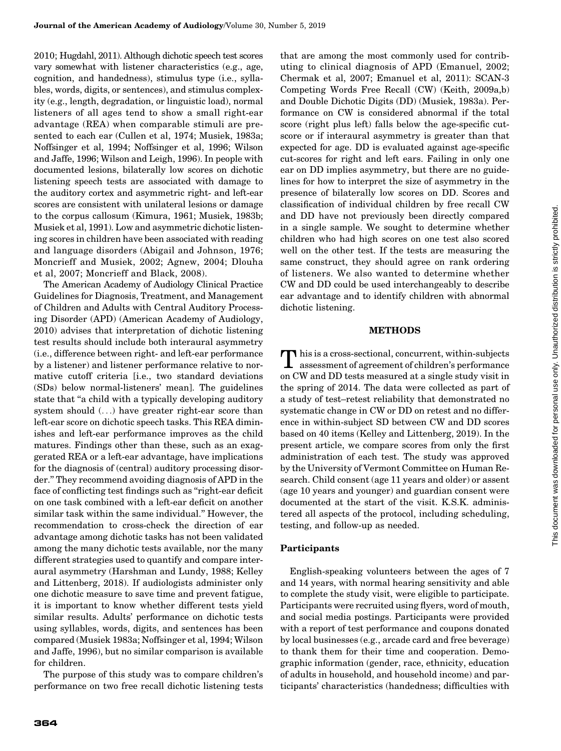2010; Hugdahl, 2011). Although dichotic speech test scores vary somewhat with listener characteristics (e.g., age, cognition, and handedness), stimulus type (i.e., syllables, words, digits, or sentences), and stimulus complexity (e.g., length, degradation, or linguistic load), normal listeners of all ages tend to show a small right-ear advantage (REA) when comparable stimuli are presented to each ear (Cullen et al, 1974; Musiek, 1983a; Noffsinger et al, 1994; Noffsinger et al, 1996; Wilson and Jaffe, 1996; Wilson and Leigh, 1996). In people with documented lesions, bilaterally low scores on dichotic listening speech tests are associated with damage to the auditory cortex and asymmetric right- and left-ear scores are consistent with unilateral lesions or damage to the corpus callosum (Kimura, 1961; Musiek, 1983b; Musiek et al, 1991). Low and asymmetric dichotic listening scores in children have been associated with reading and language disorders (Abigail and Johnson, 1976; Moncrieff and Musiek, 2002; Agnew, 2004; Dlouha et al, 2007; Moncrieff and Black, 2008).

The American Academy of Audiology Clinical Practice Guidelines for Diagnosis, Treatment, and Management of Children and Adults with Central Auditory Processing Disorder (APD) (American Academy of Audiology, 2010) advises that interpretation of dichotic listening test results should include both interaural asymmetry (i.e., difference between right- and left-ear performance by a listener) and listener performance relative to normative cutoff criteria [i.e., two standard deviations (SDs) below normal-listeners' mean]. The guidelines state that "a child with a typically developing auditory system should (...) have greater right-ear score than left-ear score on dichotic speech tasks. This REA diminishes and left-ear performance improves as the child matures. Findings other than these, such as an exaggerated REA or a left-ear advantage, have implications for the diagnosis of (central) auditory processing disorder.'' They recommend avoiding diagnosis of APD in the face of conflicting test findings such as "right-ear deficit" on one task combined with a left-ear deficit on another similar task within the same individual.'' However, the recommendation to cross-check the direction of ear advantage among dichotic tasks has not been validated among the many dichotic tests available, nor the many different strategies used to quantify and compare interaural asymmetry (Harshman and Lundy, 1988; Kelley and Littenberg, 2018). If audiologists administer only one dichotic measure to save time and prevent fatigue, it is important to know whether different tests yield similar results. Adults' performance on dichotic tests using syllables, words, digits, and sentences has been compared (Musiek 1983a; Noffsinger et al, 1994; Wilson and Jaffe, 1996), but no similar comparison is available for children.

The purpose of this study was to compare children's performance on two free recall dichotic listening tests that are among the most commonly used for contributing to clinical diagnosis of APD (Emanuel, 2002; Chermak et al, 2007; Emanuel et al, 2011): SCAN-3 Competing Words Free Recall (CW) (Keith, 2009a,b) and Double Dichotic Digits (DD) (Musiek, 1983a). Performance on CW is considered abnormal if the total score (right plus left) falls below the age-specific cutscore or if interaural asymmetry is greater than that expected for age. DD is evaluated against age-specific cut-scores for right and left ears. Failing in only one ear on DD implies asymmetry, but there are no guidelines for how to interpret the size of asymmetry in the presence of bilaterally low scores on DD. Scores and classification of individual children by free recall CW and DD have not previously been directly compared in a single sample. We sought to determine whether children who had high scores on one test also scored well on the other test. If the tests are measuring the same construct, they should agree on rank ordering of listeners. We also wanted to determine whether CW and DD could be used interchangeably to describe ear advantage and to identify children with abnormal dichotic listening.

# METHODS

This is a cross-sectional, concurrent, within-subjects assessment of agreement of children's performance on CW and DD tests measured at a single study visit in the spring of 2014. The data were collected as part of a study of test–retest reliability that demonstrated no systematic change in CW or DD on retest and no difference in within-subject SD between CW and DD scores based on 40 items (Kelley and Littenberg, 2019). In the present article, we compare scores from only the first administration of each test. The study was approved by the University of Vermont Committee on Human Research. Child consent (age 11 years and older) or assent (age 10 years and younger) and guardian consent were documented at the start of the visit. K.S.K. administered all aspects of the protocol, including scheduling, testing, and follow-up as needed.

# Participants

English-speaking volunteers between the ages of 7 and 14 years, with normal hearing sensitivity and able to complete the study visit, were eligible to participate. Participants were recruited using flyers, word of mouth, and social media postings. Participants were provided with a report of test performance and coupons donated by local businesses (e.g., arcade card and free beverage) to thank them for their time and cooperation. Demographic information (gender, race, ethnicity, education of adults in household, and household income) and participants' characteristics (handedness; difficulties with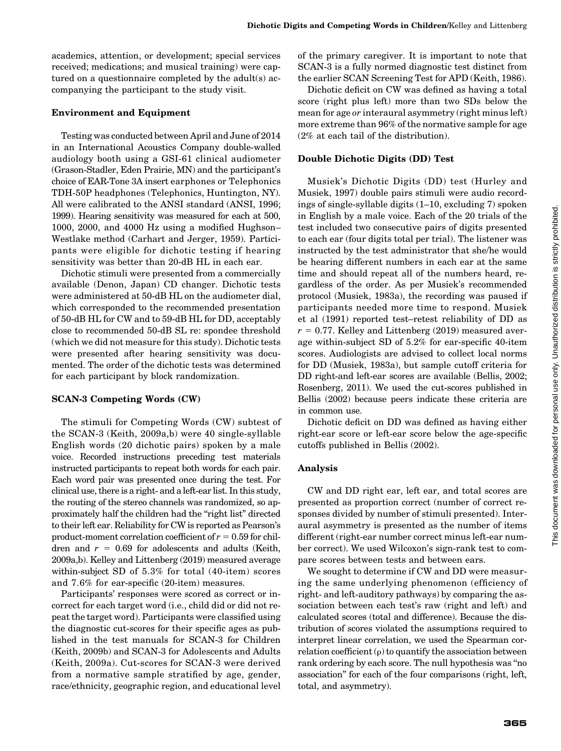academics, attention, or development; special services received; medications; and musical training) were captured on a questionnaire completed by the adult(s) accompanying the participant to the study visit.

# Environment and Equipment

Testing was conducted between April and June of 2014 in an International Acoustics Company double-walled audiology booth using a GSI-61 clinical audiometer (Grason-Stadler, Eden Prairie, MN) and the participant's choice of EAR-Tone 3A insert earphones or Telephonics TDH-50P headphones (Telephonics, Huntington, NY). All were calibrated to the ANSI standard (ANSI, 1996; 1999). Hearing sensitivity was measured for each at 500, 1000, 2000, and 4000 Hz using a modified Hughson– Westlake method (Carhart and Jerger, 1959). Participants were eligible for dichotic testing if hearing sensitivity was better than 20-dB HL in each ear.

Dichotic stimuli were presented from a commercially available (Denon, Japan) CD changer. Dichotic tests were administered at 50-dB HL on the audiometer dial, which corresponded to the recommended presentation of 50-dB HL for CW and to 59-dB HL for DD, acceptably close to recommended 50-dB SL re: spondee threshold (which we did not measure for this study). Dichotic tests were presented after hearing sensitivity was documented. The order of the dichotic tests was determined for each participant by block randomization.

#### SCAN-3 Competing Words (CW)

The stimuli for Competing Words (CW) subtest of the SCAN-3 (Keith, 2009a,b) were 40 single-syllable English words (20 dichotic pairs) spoken by a male voice. Recorded instructions preceding test materials instructed participants to repeat both words for each pair. Each word pair was presented once during the test. For clinical use, there is a right- and a left-ear list. In this study, the routing of the stereo channels was randomized, so approximately half the children had the "right list" directed to their left ear. Reliability for CW is reported as Pearson's product-moment correlation coefficient of  $r = 0.59$  for children and  $r = 0.69$  for adolescents and adults (Keith, 2009a,b). Kelley and Littenberg (2019) measured average within-subject SD of 5.3% for total (40-item) scores and 7.6% for ear-specific (20-item) measures.

Participants' responses were scored as correct or incorrect for each target word (i.e., child did or did not repeat the target word). Participants were classified using the diagnostic cut-scores for their specific ages as published in the test manuals for SCAN-3 for Children (Keith, 2009b) and SCAN-3 for Adolescents and Adults (Keith, 2009a). Cut-scores for SCAN-3 were derived from a normative sample stratified by age, gender, race/ethnicity, geographic region, and educational level of the primary caregiver. It is important to note that SCAN-3 is a fully normed diagnostic test distinct from the earlier SCAN Screening Test for APD (Keith, 1986).

Dichotic deficit on CW was defined as having a total score (right plus left) more than two SDs below the mean for age or interaural asymmetry (right minus left) more extreme than 96% of the normative sample for age (2% at each tail of the distribution).

# Double Dichotic Digits (DD) Test

Musiek's Dichotic Digits (DD) test (Hurley and Musiek, 1997) double pairs stimuli were audio recordings of single-syllable digits (1–10, excluding 7) spoken in English by a male voice. Each of the 20 trials of the test included two consecutive pairs of digits presented to each ear (four digits total per trial). The listener was instructed by the test administrator that she/he would be hearing different numbers in each ear at the same time and should repeat all of the numbers heard, regardless of the order. As per Musiek's recommended protocol (Musiek, 1983a), the recording was paused if participants needed more time to respond. Musiek et al (1991) reported test–retest reliability of DD as  $r = 0.77$ . Kelley and Littenberg (2019) measured average within-subject SD of 5.2% for ear-specific 40-item scores. Audiologists are advised to collect local norms for DD (Musiek, 1983a), but sample cutoff criteria for DD right-and left-ear scores are available (Bellis, 2002; Rosenberg, 2011). We used the cut-scores published in Bellis (2002) because peers indicate these criteria are in common use.

Dichotic deficit on DD was defined as having either right-ear score or left-ear score below the age-specific cutoffs published in Bellis (2002).

# Analysis

CW and DD right ear, left ear, and total scores are presented as proportion correct (number of correct responses divided by number of stimuli presented). Interaural asymmetry is presented as the number of items different (right-ear number correct minus left-ear number correct). We used Wilcoxon's sign-rank test to compare scores between tests and between ears.

We sought to determine if CW and DD were measuring the same underlying phenomenon (efficiency of right- and left-auditory pathways) by comparing the association between each test's raw (right and left) and calculated scores (total and difference). Because the distribution of scores violated the assumptions required to interpret linear correlation, we used the Spearman correlation coefficient  $(\rho)$  to quantify the association between rank ordering by each score. The null hypothesis was ''no association'' for each of the four comparisons (right, left, total, and asymmetry).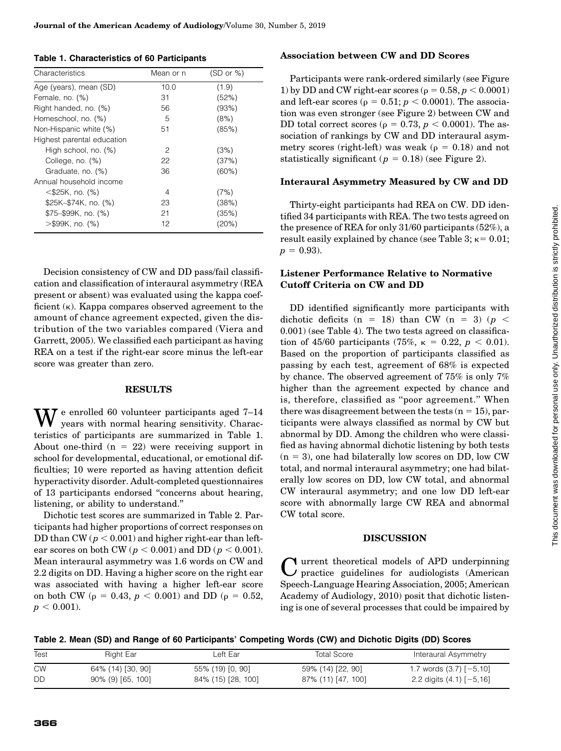Characteristics Mean or n (SD or %) Age (years), mean (SD) 10.0 (1.9) Female, no. (%) 31 (52%) Right handed, no. (%) 56 (93%) Homeschool, no. (%) 5 (8%) Non-Hispanic white (%) 51 (85%) Highest parental education High school, no.  $(\%)$  2 (3%) College, no. (%) 22 (37%) Graduate, no. (%) 36 (60%) Annual household income  $<$ \$25K, no. (%) 4 (7%) \$25K–\$74K, no. (%) 23 (38%) \$75–\$99K, no. (%) 21 (35%) .\$99K, no. (%) 12 (20%)

Table 1. Characteristics of 60 Participants

Decision consistency of CW and DD pass/fail classification and classification of interaural asymmetry (REA present or absent) was evaluated using the kappa coefficient  $(\kappa)$ . Kappa compares observed agreement to the amount of chance agreement expected, given the distribution of the two variables compared (Viera and Garrett, 2005). We classified each participant as having REA on a test if the right-ear score minus the left-ear score was greater than zero.

#### **RESULTS**

 $\bar{J}$  e enrolled 60 volunteer participants aged 7–14 years with normal hearing sensitivity. Characteristics of participants are summarized in Table 1. About one-third  $(n = 22)$  were receiving support in school for developmental, educational, or emotional difficulties; 10 were reported as having attention deficit hyperactivity disorder. Adult-completed questionnaires of 13 participants endorsed ''concerns about hearing, listening, or ability to understand.''

Dichotic test scores are summarized in Table 2. Participants had higher proportions of correct responses on DD than CW ( $p < 0.001$ ) and higher right-ear than leftear scores on both CW ( $p < 0.001$ ) and DD ( $p < 0.001$ ). Mean interaural asymmetry was 1.6 words on CW and 2.2 digits on DD. Having a higher score on the right ear was associated with having a higher left-ear score on both CW ( $\rho = 0.43$ ,  $p < 0.001$ ) and DD ( $\rho = 0.52$ ,  $p < 0.001$ ).

# Association between CW and DD Scores

Participants were rank-ordered similarly (see Figure 1) by DD and CW right-ear scores ( $\rho = 0.58$ ,  $p < 0.0001$ ) and left-ear scores ( $\rho = 0.51$ ;  $p < 0.0001$ ). The association was even stronger (see Figure 2) between CW and DD total correct scores ( $\rho = 0.73$ ,  $p < 0.0001$ ). The association of rankings by CW and DD interaural asymmetry scores (right-left) was weak ( $\rho = 0.18$ ) and not statistically significant ( $p = 0.18$ ) (see Figure 2).

#### Interaural Asymmetry Measured by CW and DD

Thirty-eight participants had REA on CW. DD identified 34 participants with REA. The two tests agreed on the presence of REA for only 31/60 participants (52%), a result easily explained by chance (see Table 3;  $\kappa$  = 0.01;  $p = 0.93$ .

#### Listener Performance Relative to Normative Cutoff Criteria on CW and DD

DD identified significantly more participants with dichotic deficits (n = 18) than CW (n = 3) ( $p$  < 0.001) (see Table 4). The two tests agreed on classification of 45/60 participants (75%,  $\kappa = 0.22$ ,  $p < 0.01$ ). Based on the proportion of participants classified as passing by each test, agreement of 68% is expected by chance. The observed agreement of 75% is only 7% higher than the agreement expected by chance and is, therefore, classified as ''poor agreement.'' When there was disagreement between the tests  $(n = 15)$ , participants were always classified as normal by CW but abnormal by DD. Among the children who were classified as having abnormal dichotic listening by both tests  $(n = 3)$ , one had bilaterally low scores on DD, low CW total, and normal interaural asymmetry; one had bilaterally low scores on DD, low CW total, and abnormal CW interaural asymmetry; and one low DD left-ear score with abnormally large CW REA and abnormal CW total score.

#### DISCUSSION

**Y** urrent theoretical models of APD underpinning  $\boldsymbol{J}$  practice guidelines for audiologists (American Speech-Language Hearing Association, 2005; American Academy of Audiology, 2010) posit that dichotic listening is one of several processes that could be impaired by

Table 2. Mean (SD) and Range of 60 Participants' Competing Words (CW) and Dichotic Digits (DD) Scores

| Test      | Right Ear            | Left Ear           | Total Score        | Interaural Asymmetry          |
|-----------|----------------------|--------------------|--------------------|-------------------------------|
| <b>CW</b> | 64% (14) [30, 90]    | 55% (19) [0, 90]   | 59% (14) [22, 90]  | 1.7 words $(3.7)$ $[-5.10]$   |
| DD        | $90\%$ (9) [65, 100] | 84% (15) [28, 100] | 87% (11) [47, 100] | 2.2 digits $(4.1)$ $[-5, 16]$ |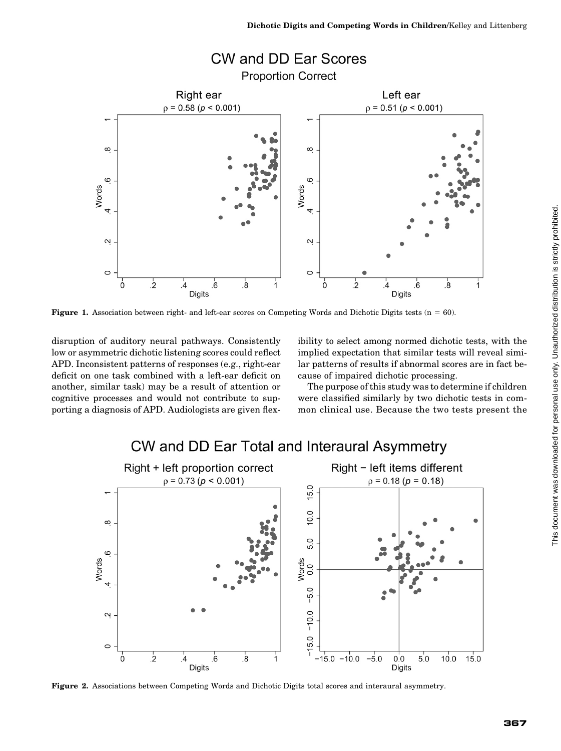

**Figure 1.** Association between right- and left-ear scores on Competing Words and Dichotic Digits tests ( $n = 60$ ).

disruption of auditory neural pathways. Consistently low or asymmetric dichotic listening scores could reflect APD. Inconsistent patterns of responses (e.g., right-ear deficit on one task combined with a left-ear deficit on another, similar task) may be a result of attention or cognitive processes and would not contribute to supporting a diagnosis of APD. Audiologists are given flexibility to select among normed dichotic tests, with the implied expectation that similar tests will reveal similar patterns of results if abnormal scores are in fact because of impaired dichotic processing.

The purpose of this study was to determine if children were classified similarly by two dichotic tests in common clinical use. Because the two tests present the



# CW and DD Ear Total and Interaural Asymmetry

Figure 2. Associations between Competing Words and Dichotic Digits total scores and interaural asymmetry.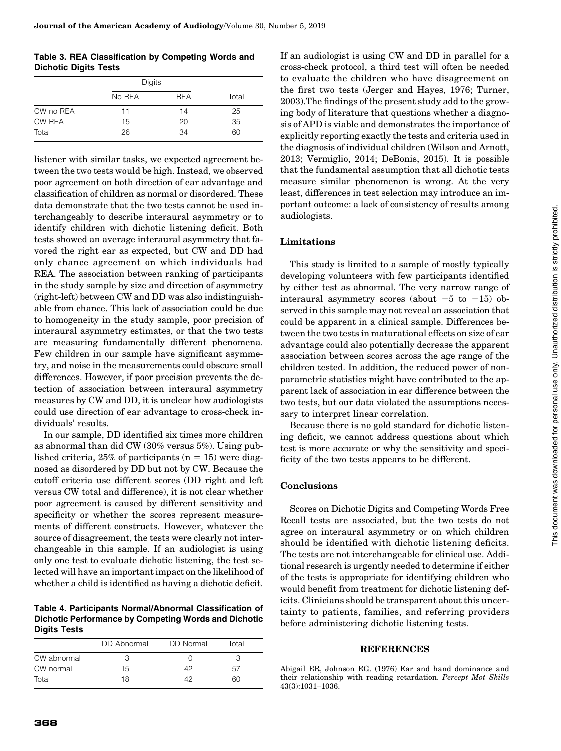Table 3. REA Classification by Competing Words and Dichotic Digits Tests

|               | Digits |            |       |
|---------------|--------|------------|-------|
|               | No REA | <b>REA</b> | Total |
| CW no REA     | 11     | 14         | 25    |
| <b>CW REA</b> | 15     | 20         | 35    |
| Total         | 26     | 34         | 60    |

listener with similar tasks, we expected agreement between the two tests would be high. Instead, we observed poor agreement on both direction of ear advantage and classification of children as normal or disordered. These data demonstrate that the two tests cannot be used interchangeably to describe interaural asymmetry or to identify children with dichotic listening deficit. Both tests showed an average interaural asymmetry that favored the right ear as expected, but CW and DD had only chance agreement on which individuals had REA. The association between ranking of participants in the study sample by size and direction of asymmetry (right-left) between CW and DD was also indistinguishable from chance. This lack of association could be due to homogeneity in the study sample, poor precision of interaural asymmetry estimates, or that the two tests are measuring fundamentally different phenomena. Few children in our sample have significant asymmetry, and noise in the measurements could obscure small differences. However, if poor precision prevents the detection of association between interaural asymmetry measures by CW and DD, it is unclear how audiologists could use direction of ear advantage to cross-check individuals' results.

In our sample, DD identified six times more children as abnormal than did CW (30% versus 5%). Using published criteria, 25% of participants ( $n = 15$ ) were diagnosed as disordered by DD but not by CW. Because the cutoff criteria use different scores (DD right and left versus CW total and difference), it is not clear whether poor agreement is caused by different sensitivity and specificity or whether the scores represent measurements of different constructs. However, whatever the source of disagreement, the tests were clearly not interchangeable in this sample. If an audiologist is using only one test to evaluate dichotic listening, the test selected will have an important impact on the likelihood of whether a child is identified as having a dichotic deficit.

Table 4. Participants Normal/Abnormal Classification of Dichotic Performance by Competing Words and Dichotic Digits Tests

|             | DD Abnormal | <b>DD</b> Normal | Total |  |
|-------------|-------------|------------------|-------|--|
| CW abnormal |             |                  |       |  |
| CW normal   | 15          | 42               | 57    |  |
| Total       | 18          | ハつ               | 60    |  |

If an audiologist is using CW and DD in parallel for a cross-check protocol, a third test will often be needed to evaluate the children who have disagreement on the first two tests (Jerger and Hayes, 1976; Turner, 2003).The findings of the present study add to the growing body of literature that questions whether a diagnosis of APD is viable and demonstrates the importance of explicitly reporting exactly the tests and criteria used in the diagnosis of individual children (Wilson and Arnott, 2013; Vermiglio, 2014; DeBonis, 2015). It is possible that the fundamental assumption that all dichotic tests measure similar phenomenon is wrong. At the very least, differences in test selection may introduce an important outcome: a lack of consistency of results among audiologists.

# Limitations

This study is limited to a sample of mostly typically developing volunteers with few participants identified by either test as abnormal. The very narrow range of interaural asymmetry scores (about  $-5$  to  $+15$ ) observed in this sample may not reveal an association that could be apparent in a clinical sample. Differences between the two tests in maturational effects on size of ear advantage could also potentially decrease the apparent association between scores across the age range of the children tested. In addition, the reduced power of nonparametric statistics might have contributed to the apparent lack of association in ear difference between the two tests, but our data violated the assumptions necessary to interpret linear correlation.

Because there is no gold standard for dichotic listening deficit, we cannot address questions about which test is more accurate or why the sensitivity and specificity of the two tests appears to be different.

# Conclusions

Scores on Dichotic Digits and Competing Words Free Recall tests are associated, but the two tests do not agree on interaural asymmetry or on which children should be identified with dichotic listening deficits. The tests are not interchangeable for clinical use. Additional research is urgently needed to determine if either of the tests is appropriate for identifying children who would benefit from treatment for dichotic listening deficits. Clinicians should be transparent about this uncertainty to patients, families, and referring providers before administering dichotic listening tests.

# **REFERENCES**

Abigail ER, Johnson EG. (1976) Ear and hand dominance and their relationship with reading retardation. Percept Mot Skills 43(3):1031–1036.